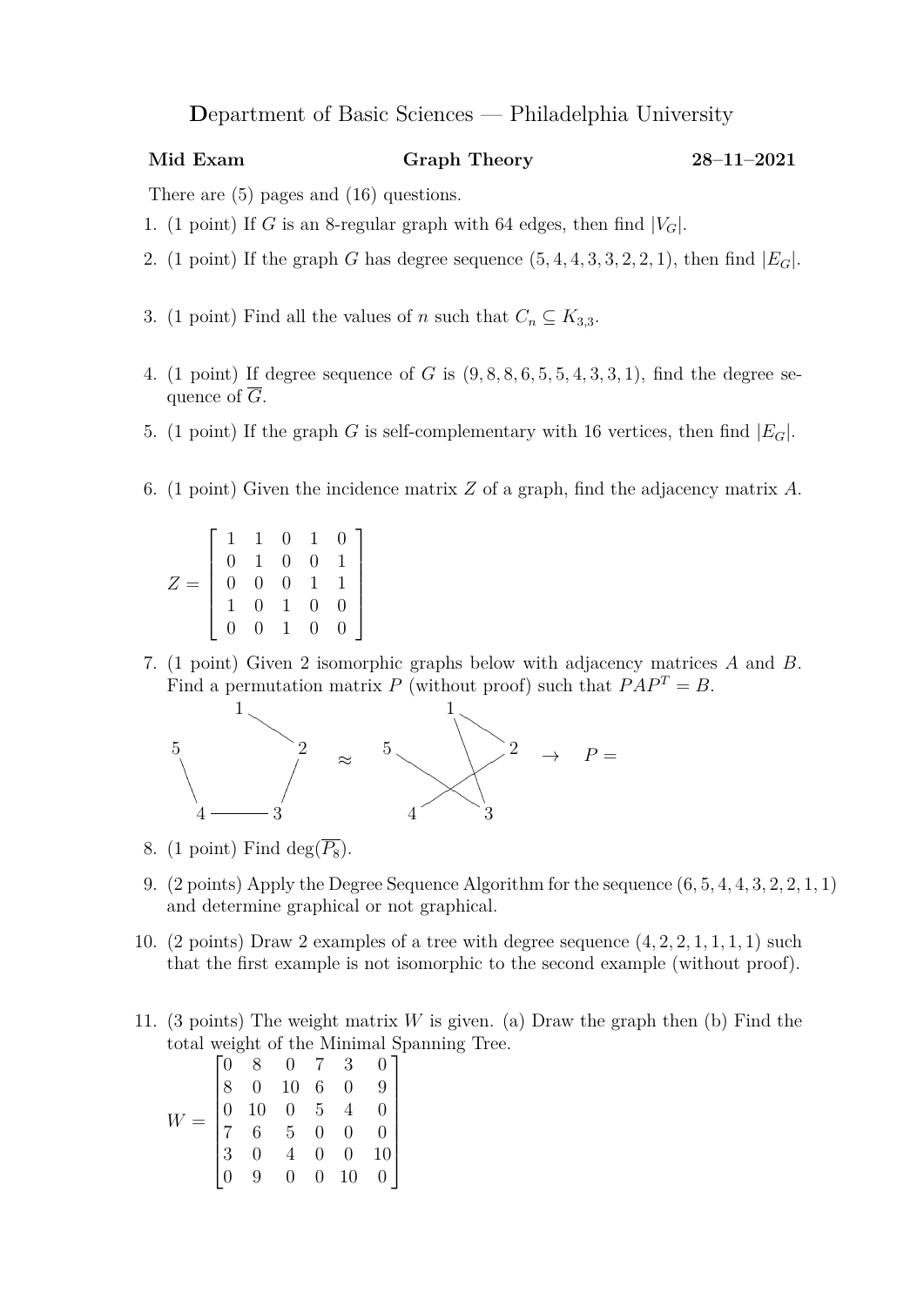## **D**epartment of Basic Sciences — Philadelphia University

## **Mid Exam Graph Theory 28–11–2021**

There are (5) pages and (16) questions.

- 1. (1 point) If *G* is an 8-regular graph with 64 edges, then find  $|V_G|$ .
- 2. (1 point) If the graph *G* has degree sequence  $(5, 4, 4, 3, 3, 2, 2, 1)$ , then find  $|E_G|$ .
- 3. (1 point) Find all the values of *n* such that  $C_n \subseteq K_{3,3}$ .
- 4. (1 point) If degree sequence of *G* is (9*,* 8*,* 8*,* 6*,* 5*,* 5*,* 4*,* 3*,* 3*,* 1), find the degree sequence of *G*.
- 5. (1 point) If the graph *G* is self-complementary with 16 vertices, then find  $|E_G|$ .
- 6. (1 point) Given the incidence matrix *Z* of a graph, find the adjacency matrix *A*.

|       |  |  | $\begin{array}{cccc} 1 & 1 & 0 & 1 & 0 \\ 0 & 1 & 0 & 0 & 1 \\ 0 & 0 & 0 & 1 & 1 \\ 1 & 0 & 1 & 0 & 0 \\ 0 & 0 & 1 & 0 & 0 \end{array}$ |  |
|-------|--|--|-----------------------------------------------------------------------------------------------------------------------------------------|--|
|       |  |  |                                                                                                                                         |  |
| $Z =$ |  |  |                                                                                                                                         |  |
|       |  |  |                                                                                                                                         |  |
|       |  |  |                                                                                                                                         |  |

7. (1 point) Given 2 isomorphic graphs below with adjacency matrices *A* and *B*. Find a permutation matrix *P* (without proof) such that  $PAP^T = B$ .



- 8. (1 point) Find deg( $\overline{P_8}$ ).
- 9. (2 points) Apply the Degree Sequence Algorithm for the sequence (6*,* 5*,* 4*,* 4*,* 3*,* 2*,* 2*,* 1*,* 1) and determine graphical or not graphical.
- 10. (2 points) Draw 2 examples of a tree with degree sequence (4*,* 2*,* 2*,* 1*,* 1*,* 1*,* 1) such that the first example is not isomorphic to the second example (without proof).
- 11. (3 points) The weight matrix *W* is given. (a) Draw the graph then (b) Find the total weight of the Minimal Spanning Tree.

$$
W = \begin{bmatrix} 0 & 8 & 0 & 7 & 3 & 0 \\ 8 & 0 & 10 & 6 & 0 & 9 \\ 0 & 10 & 0 & 5 & 4 & 0 \\ 7 & 6 & 5 & 0 & 0 & 0 \\ 3 & 0 & 4 & 0 & 0 & 10 \\ 0 & 9 & 0 & 0 & 10 & 0 \end{bmatrix}
$$